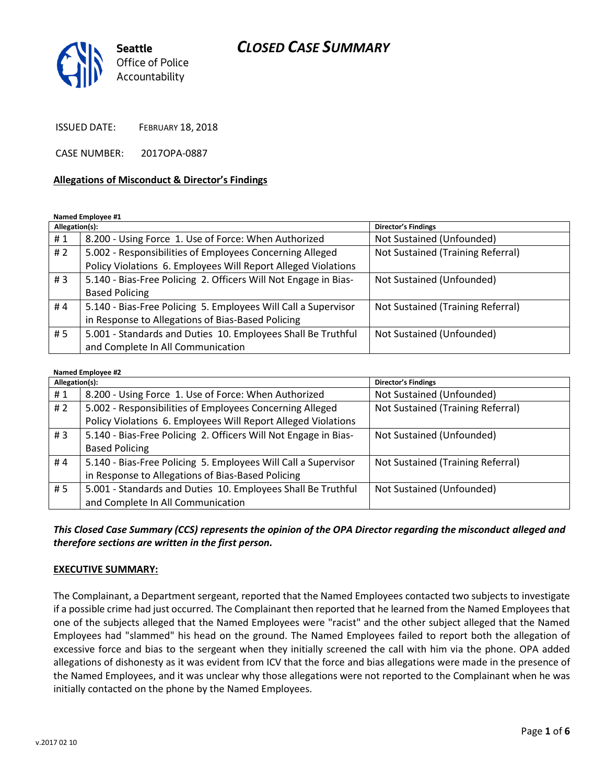# *CLOSED CASE SUMMARY*



ISSUED DATE: FEBRUARY 18, 2018

CASE NUMBER: 2017OPA-0887

## **Allegations of Misconduct & Director's Findings**

#### **Named Employee #1**

| Allegation(s): |                                                                 | Director's Findings               |
|----------------|-----------------------------------------------------------------|-----------------------------------|
| #1             | 8.200 - Using Force 1. Use of Force: When Authorized            | Not Sustained (Unfounded)         |
| #2             | 5.002 - Responsibilities of Employees Concerning Alleged        | Not Sustained (Training Referral) |
|                | Policy Violations 6. Employees Will Report Alleged Violations   |                                   |
| #3             | 5.140 - Bias-Free Policing 2. Officers Will Not Engage in Bias- | Not Sustained (Unfounded)         |
|                | <b>Based Policing</b>                                           |                                   |
| #4             | 5.140 - Bias-Free Policing 5. Employees Will Call a Supervisor  | Not Sustained (Training Referral) |
|                | in Response to Allegations of Bias-Based Policing               |                                   |
| #5             | 5.001 - Standards and Duties 10. Employees Shall Be Truthful    | Not Sustained (Unfounded)         |
|                | and Complete In All Communication                               |                                   |

#### **Named Employee #2**

| Allegation(s): |                                                                 | Director's Findings               |
|----------------|-----------------------------------------------------------------|-----------------------------------|
| #1             | 8.200 - Using Force 1. Use of Force: When Authorized            | Not Sustained (Unfounded)         |
| #2             | 5.002 - Responsibilities of Employees Concerning Alleged        | Not Sustained (Training Referral) |
|                | Policy Violations 6. Employees Will Report Alleged Violations   |                                   |
| #3             | 5.140 - Bias-Free Policing 2. Officers Will Not Engage in Bias- | Not Sustained (Unfounded)         |
|                | <b>Based Policing</b>                                           |                                   |
| #4             | 5.140 - Bias-Free Policing 5. Employees Will Call a Supervisor  | Not Sustained (Training Referral) |
|                | in Response to Allegations of Bias-Based Policing               |                                   |
| #5             | 5.001 - Standards and Duties 10. Employees Shall Be Truthful    | Not Sustained (Unfounded)         |
|                | and Complete In All Communication                               |                                   |

# *This Closed Case Summary (CCS) represents the opinion of the OPA Director regarding the misconduct alleged and therefore sections are written in the first person.*

### **EXECUTIVE SUMMARY:**

The Complainant, a Department sergeant, reported that the Named Employees contacted two subjects to investigate if a possible crime had just occurred. The Complainant then reported that he learned from the Named Employees that one of the subjects alleged that the Named Employees were "racist" and the other subject alleged that the Named Employees had "slammed" his head on the ground. The Named Employees failed to report both the allegation of excessive force and bias to the sergeant when they initially screened the call with him via the phone. OPA added allegations of dishonesty as it was evident from ICV that the force and bias allegations were made in the presence of the Named Employees, and it was unclear why those allegations were not reported to the Complainant when he was initially contacted on the phone by the Named Employees.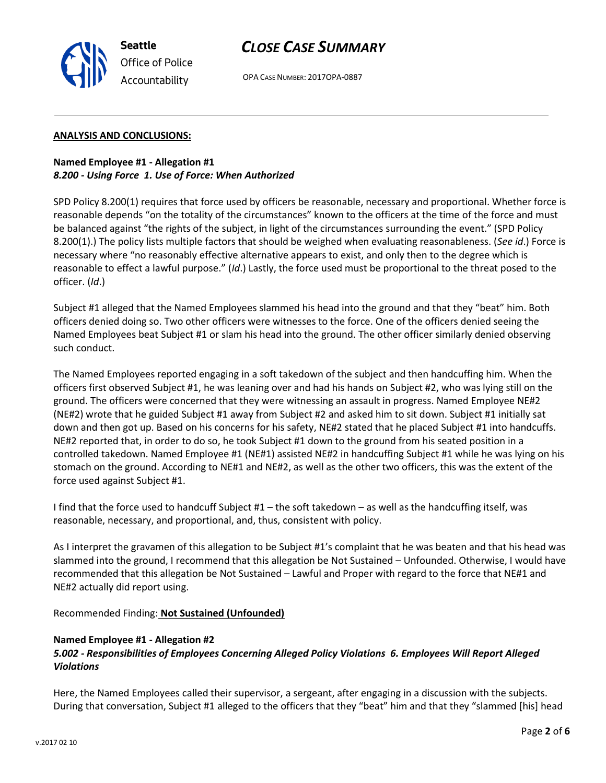

OPA CASE NUMBER: 2017OPA-0887

## **ANALYSIS AND CONCLUSIONS:**

**Seattle**

*Office of Police Accountability*

**Named Employee #1 - Allegation #1** *8.200 - Using Force 1. Use of Force: When Authorized*

SPD Policy 8.200(1) requires that force used by officers be reasonable, necessary and proportional. Whether force is reasonable depends "on the totality of the circumstances" known to the officers at the time of the force and must be balanced against "the rights of the subject, in light of the circumstances surrounding the event." (SPD Policy 8.200(1).) The policy lists multiple factors that should be weighed when evaluating reasonableness. (*See id*.) Force is necessary where "no reasonably effective alternative appears to exist, and only then to the degree which is reasonable to effect a lawful purpose." (*Id*.) Lastly, the force used must be proportional to the threat posed to the officer. (*Id*.)

Subject #1 alleged that the Named Employees slammed his head into the ground and that they "beat" him. Both officers denied doing so. Two other officers were witnesses to the force. One of the officers denied seeing the Named Employees beat Subject #1 or slam his head into the ground. The other officer similarly denied observing such conduct.

The Named Employees reported engaging in a soft takedown of the subject and then handcuffing him. When the officers first observed Subject #1, he was leaning over and had his hands on Subject #2, who was lying still on the ground. The officers were concerned that they were witnessing an assault in progress. Named Employee NE#2 (NE#2) wrote that he guided Subject #1 away from Subject #2 and asked him to sit down. Subject #1 initially sat down and then got up. Based on his concerns for his safety, NE#2 stated that he placed Subject #1 into handcuffs. NE#2 reported that, in order to do so, he took Subject #1 down to the ground from his seated position in a controlled takedown. Named Employee #1 (NE#1) assisted NE#2 in handcuffing Subject #1 while he was lying on his stomach on the ground. According to NE#1 and NE#2, as well as the other two officers, this was the extent of the force used against Subject #1.

I find that the force used to handcuff Subject #1 – the soft takedown – as well as the handcuffing itself, was reasonable, necessary, and proportional, and, thus, consistent with policy.

As I interpret the gravamen of this allegation to be Subject #1's complaint that he was beaten and that his head was slammed into the ground, I recommend that this allegation be Not Sustained – Unfounded. Otherwise, I would have recommended that this allegation be Not Sustained – Lawful and Proper with regard to the force that NE#1 and NE#2 actually did report using.

Recommended Finding: **Not Sustained (Unfounded)**

### **Named Employee #1 - Allegation #2**

# *5.002 - Responsibilities of Employees Concerning Alleged Policy Violations 6. Employees Will Report Alleged Violations*

Here, the Named Employees called their supervisor, a sergeant, after engaging in a discussion with the subjects. During that conversation, Subject #1 alleged to the officers that they "beat" him and that they "slammed [his] head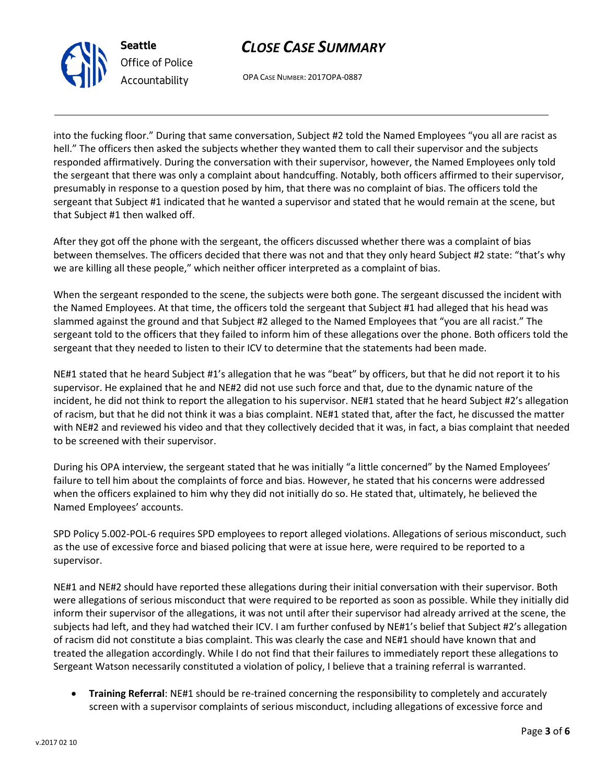



OPA CASE NUMBER: 2017OPA-0887

into the fucking floor." During that same conversation, Subject #2 told the Named Employees "you all are racist as hell." The officers then asked the subjects whether they wanted them to call their supervisor and the subjects responded affirmatively. During the conversation with their supervisor, however, the Named Employees only told the sergeant that there was only a complaint about handcuffing. Notably, both officers affirmed to their supervisor, presumably in response to a question posed by him, that there was no complaint of bias. The officers told the sergeant that Subject #1 indicated that he wanted a supervisor and stated that he would remain at the scene, but that Subject #1 then walked off.

After they got off the phone with the sergeant, the officers discussed whether there was a complaint of bias between themselves. The officers decided that there was not and that they only heard Subject #2 state: "that's why we are killing all these people," which neither officer interpreted as a complaint of bias.

When the sergeant responded to the scene, the subjects were both gone. The sergeant discussed the incident with the Named Employees. At that time, the officers told the sergeant that Subject #1 had alleged that his head was slammed against the ground and that Subject #2 alleged to the Named Employees that "you are all racist." The sergeant told to the officers that they failed to inform him of these allegations over the phone. Both officers told the sergeant that they needed to listen to their ICV to determine that the statements had been made.

NE#1 stated that he heard Subject #1's allegation that he was "beat" by officers, but that he did not report it to his supervisor. He explained that he and NE#2 did not use such force and that, due to the dynamic nature of the incident, he did not think to report the allegation to his supervisor. NE#1 stated that he heard Subject #2's allegation of racism, but that he did not think it was a bias complaint. NE#1 stated that, after the fact, he discussed the matter with NE#2 and reviewed his video and that they collectively decided that it was, in fact, a bias complaint that needed to be screened with their supervisor.

During his OPA interview, the sergeant stated that he was initially "a little concerned" by the Named Employees' failure to tell him about the complaints of force and bias. However, he stated that his concerns were addressed when the officers explained to him why they did not initially do so. He stated that, ultimately, he believed the Named Employees' accounts.

SPD Policy 5.002-POL-6 requires SPD employees to report alleged violations. Allegations of serious misconduct, such as the use of excessive force and biased policing that were at issue here, were required to be reported to a supervisor.

NE#1 and NE#2 should have reported these allegations during their initial conversation with their supervisor. Both were allegations of serious misconduct that were required to be reported as soon as possible. While they initially did inform their supervisor of the allegations, it was not until after their supervisor had already arrived at the scene, the subjects had left, and they had watched their ICV. I am further confused by NE#1's belief that Subject #2's allegation of racism did not constitute a bias complaint. This was clearly the case and NE#1 should have known that and treated the allegation accordingly. While I do not find that their failures to immediately report these allegations to Sergeant Watson necessarily constituted a violation of policy, I believe that a training referral is warranted.

• **Training Referral**: NE#1 should be re-trained concerning the responsibility to completely and accurately screen with a supervisor complaints of serious misconduct, including allegations of excessive force and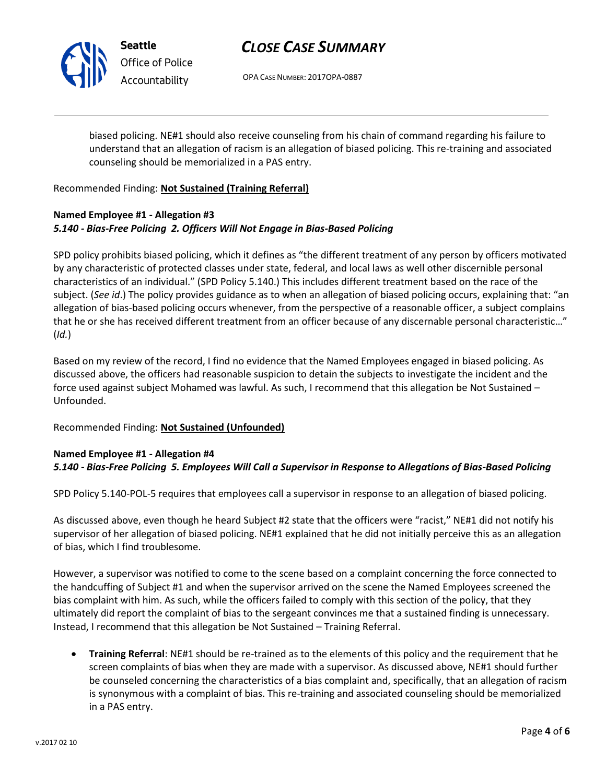

**Seattle** *Office of Police Accountability*

# *CLOSE CASE SUMMARY*

OPA CASE NUMBER: 2017OPA-0887

biased policing. NE#1 should also receive counseling from his chain of command regarding his failure to understand that an allegation of racism is an allegation of biased policing. This re-training and associated counseling should be memorialized in a PAS entry.

Recommended Finding: **Not Sustained (Training Referral)**

# **Named Employee #1 - Allegation #3** *5.140 - Bias-Free Policing 2. Officers Will Not Engage in Bias-Based Policing*

SPD policy prohibits biased policing, which it defines as "the different treatment of any person by officers motivated by any characteristic of protected classes under state, federal, and local laws as well other discernible personal characteristics of an individual." (SPD Policy 5.140.) This includes different treatment based on the race of the subject. (*See id*.) The policy provides guidance as to when an allegation of biased policing occurs, explaining that: "an allegation of bias-based policing occurs whenever, from the perspective of a reasonable officer, a subject complains that he or she has received different treatment from an officer because of any discernable personal characteristic…" (*Id.*)

Based on my review of the record, I find no evidence that the Named Employees engaged in biased policing. As discussed above, the officers had reasonable suspicion to detain the subjects to investigate the incident and the force used against subject Mohamed was lawful. As such, I recommend that this allegation be Not Sustained – Unfounded.

Recommended Finding: **Not Sustained (Unfounded)**

# **Named Employee #1 - Allegation #4**

# *5.140 - Bias-Free Policing 5. Employees Will Call a Supervisor in Response to Allegations of Bias-Based Policing*

SPD Policy 5.140-POL-5 requires that employees call a supervisor in response to an allegation of biased policing.

As discussed above, even though he heard Subject #2 state that the officers were "racist," NE#1 did not notify his supervisor of her allegation of biased policing. NE#1 explained that he did not initially perceive this as an allegation of bias, which I find troublesome.

However, a supervisor was notified to come to the scene based on a complaint concerning the force connected to the handcuffing of Subject #1 and when the supervisor arrived on the scene the Named Employees screened the bias complaint with him. As such, while the officers failed to comply with this section of the policy, that they ultimately did report the complaint of bias to the sergeant convinces me that a sustained finding is unnecessary. Instead, I recommend that this allegation be Not Sustained – Training Referral.

• **Training Referral**: NE#1 should be re-trained as to the elements of this policy and the requirement that he screen complaints of bias when they are made with a supervisor. As discussed above, NE#1 should further be counseled concerning the characteristics of a bias complaint and, specifically, that an allegation of racism is synonymous with a complaint of bias. This re-training and associated counseling should be memorialized in a PAS entry.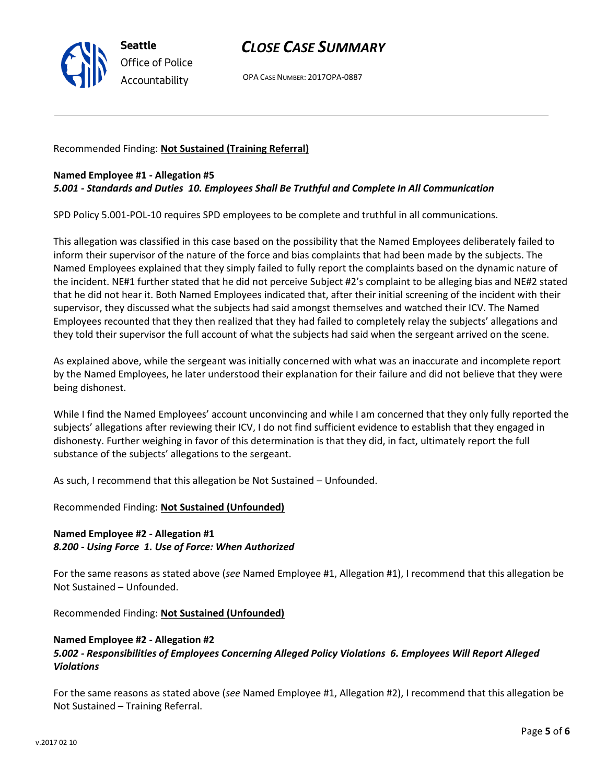

# *CLOSE CASE SUMMARY*

OPA CASE NUMBER: 2017OPA-0887

Recommended Finding: **Not Sustained (Training Referral)**

## **Named Employee #1 - Allegation #5**

## *5.001 - Standards and Duties 10. Employees Shall Be Truthful and Complete In All Communication*

SPD Policy 5.001-POL-10 requires SPD employees to be complete and truthful in all communications.

This allegation was classified in this case based on the possibility that the Named Employees deliberately failed to inform their supervisor of the nature of the force and bias complaints that had been made by the subjects. The Named Employees explained that they simply failed to fully report the complaints based on the dynamic nature of the incident. NE#1 further stated that he did not perceive Subject #2's complaint to be alleging bias and NE#2 stated that he did not hear it. Both Named Employees indicated that, after their initial screening of the incident with their supervisor, they discussed what the subjects had said amongst themselves and watched their ICV. The Named Employees recounted that they then realized that they had failed to completely relay the subjects' allegations and they told their supervisor the full account of what the subjects had said when the sergeant arrived on the scene.

As explained above, while the sergeant was initially concerned with what was an inaccurate and incomplete report by the Named Employees, he later understood their explanation for their failure and did not believe that they were being dishonest.

While I find the Named Employees' account unconvincing and while I am concerned that they only fully reported the subjects' allegations after reviewing their ICV, I do not find sufficient evidence to establish that they engaged in dishonesty. Further weighing in favor of this determination is that they did, in fact, ultimately report the full substance of the subjects' allegations to the sergeant.

As such, I recommend that this allegation be Not Sustained – Unfounded.

Recommended Finding: **Not Sustained (Unfounded)**

# **Named Employee #2 - Allegation #1** *8.200 - Using Force 1. Use of Force: When Authorized*

For the same reasons as stated above (*see* Named Employee #1, Allegation #1), I recommend that this allegation be Not Sustained – Unfounded.

Recommended Finding: **Not Sustained (Unfounded)**

### **Named Employee #2 - Allegation #2**

# *5.002 - Responsibilities of Employees Concerning Alleged Policy Violations 6. Employees Will Report Alleged Violations*

For the same reasons as stated above (*see* Named Employee #1, Allegation #2), I recommend that this allegation be Not Sustained – Training Referral.